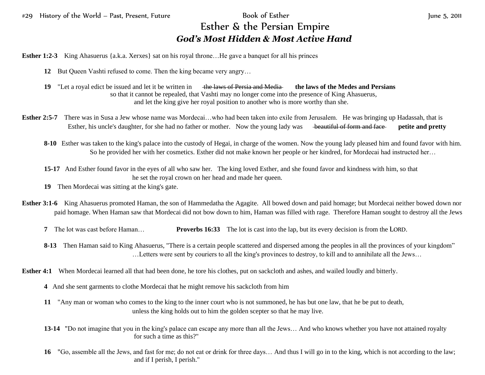## Esther & the Persian Empire *God's Most Hidden & Most Active Hand*

**Esther 1:2-3** King Ahasuerus {a.k.a. Xerxes} sat on his royal throne...He gave a banquet for all his princes

- **12** But Queen Vashti refused to come. Then the king became very angry…
- **19** "Let a royal edict be issued and let it be written in the laws of Persia and Media **the laws of the Medes and Persians** so that it cannot be repealed, that Vashti may no longer come into the presence of King Ahasuerus, and let the king give her royal position to another who is more worthy than she.
- **Esther 2:5-7** There was in Susa a Jew whose name was Mordecai...who had been taken into exile from Jerusalem. He was bringing up Hadassah, that is Esther, his uncle's daughter, for she had no father or mother. Now the young lady was beautiful of form and face **petite and pretty**
	- **8-10** Esther was taken to the king's palace into the custody of Hegai, in charge of the women. Now the young lady pleased him and found favor with him. So he provided her with her cosmetics. Esther did not make known her people or her kindred, for Mordecai had instructed her…
	- **15-17** And Esther found favor in the eyes of all who saw her. The king loved Esther, and she found favor and kindness with him, so that he set the royal crown on her head and made her queen.
	- **19** Then Mordecai was sitting at the king's gate.
- **Esther 3:1-6** King Ahasuerus promoted Haman, the son of Hammedatha the Agagite. All bowed down and paid homage; but Mordecai neither bowed down nor paid homage. When Haman saw that Mordecai did not bow down to him, Haman was filled with rage. Therefore Haman sought to destroy all the Jews
	- **7** The lot was cast before Haman… **Proverbs 16:33** The lot is cast into the lap, but its every decision is from the LORD.
	- **8-13** Then Haman said to King Ahasuerus, "There is a certain people scattered and dispersed among the peoples in all the provinces of your kingdom" …Letters were sent by couriers to all the king's provinces to destroy, to kill and to annihilate all the Jews…
- **Esther 4:1** When Mordecai learned all that had been done, he tore his clothes, put on sackcloth and ashes, and wailed loudly and bitterly.
	- **4** And she sent garments to clothe Mordecai that he might remove his sackcloth from him
	- **11** "Any man or woman who comes to the king to the inner court who is not summoned, he has but one law, that he be put to death, unless the king holds out to him the golden scepter so that he may live.
	- **13-14** "Do not imagine that you in the king's palace can escape any more than all the Jews… And who knows whether you have not attained royalty for such a time as this?"
	- **16** "Go, assemble all the Jews, and fast for me; do not eat or drink for three days… And thus I will go in to the king, which is not according to the law; and if I perish, I perish."